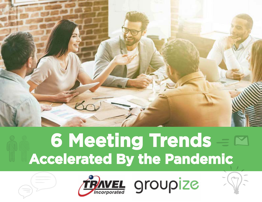

## **6 Meeting Trends Accelerated By the Pandemic**



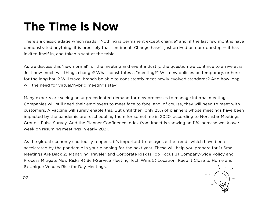### **The Time is Now**

There's a classic adage which reads, "Nothing is permanent except change" and, if the last few months have demonstrated anything, it is precisely that sentiment. Change hasn't just arrived on our doorstep — it has invited itself in, and taken a seat at the table.

As we discuss this 'new normal' for the meeting and event industry, the question we continue to arrive at is: Just how much will things change? What constitutes a "meeting?" Will new policies be temporary, or here for the long haul? Will travel brands be able to consistently meet newly evolved standards? And how long will the need for virtual/hybrid meetings stay?

Many experts are seeing an unprecedented demand for new processes to manage internal meetings. Companies will still need their employees to meet face to face, and, of course, they will need to meet with customers. A vaccine will surely enable this. But until then, only 25% of planners whose meetings have been impacted by the pandemic are rescheduling them for sometime in 2020, according to Northstar Meetings Group's Pulse Survey. And the Planner Confidence Index from Imeet is showing an 11% increase week over week on resuming meetings in early 2021.

As the global economy cautiously reopens, it's important to recognize the trends which have been accelerated by the pandemic in your planning for the next year. These will help you prepare for 1) Small Meetings Are Back 2) Managing Traveler and Corporate Risk Is Top Focus 3) Company-wide Policy and Process Mitigate New Risks 4) Self-Service Meeting Tech Wins 5) Location: Keep It Close to Home and 6) Unique Venues Rise for Day Meetings.

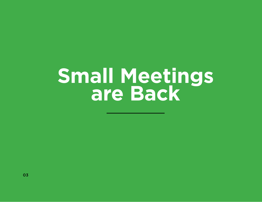## **Small Meetings are Back**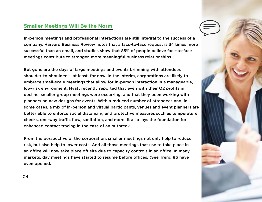### **Smaller Meetings Will Be the Norm**

In-person meetings and professional interactions are still integral to the success of a company. Harvard Business Review notes that a face-to-face request is 34 times more successful than an email, and studies show that 85% of people believe face-to-face meetings contribute to stronger, more meaningful business relationships.

But gone are the days of large meetings and events brimming with attendees shoulder-to-shoulder — at least, for now. In the interim, corporations are likely to embrace small-scale meetings that allow for in-person interaction in a manageable, low-risk environment. Hyatt recently reported that even with their Q2 profits in decline, smaller group meetings were occurring, and that they been working with planners on new designs for events. With a reduced number of attendees and, in some cases, a mix of in-person and virtual participants, venues and event planners are better able to enforce social distancing and protective measures such as temperature checks, one-way traffic flow, sanitation, and more. It also lays the foundation for enhanced contact tracing in the case of an outbreak.

From the perspective of the corporation, smaller meetings not only help to reduce risk, but also help to lower costs. And all those meetings that use to take place in an office will now take place off site due to capacity controls in an office. In many markets, day meetings have started to resume before offices. (See Trend #6 have even opened.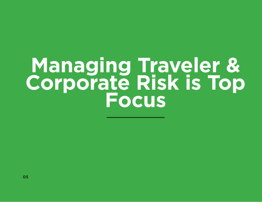## **Managing Traveler & Corporate Risk is Top Focus**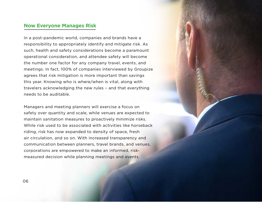#### **Now Everyone Manages Risk**

In a post-pandemic world, companies and brands have a responsibility to appropriately identify and mitigate risk. As such, health and safety considerations become a paramount operational consideration, and attendee safety will become the number one factor for any company travel, events, and meetings. In fact, 100% of companies interviewed by Groupize agrees that risk mitigation is more important than savings this year. Knowing who is where/when is vital, along with travelers acknowledging the new rules – and that everything needs to be auditable.

Managers and meeting planners will exercise a focus on safety over quantity and scale, while venues are expected to maintain sanitation measures to proactively minimize risks. While risk used to be associated with activities like horseback riding, risk has now expanded to density of space, fresh air circulation, and so on. With increased transparency and communication between planners, travel brands, and venues, corporations are empowered to make an informed, riskmeasured decision while planning meetings and events.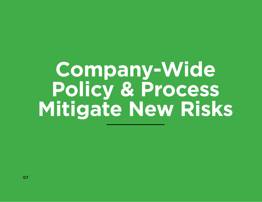## **Company-Wide Policy & Process Mitigate New Risks**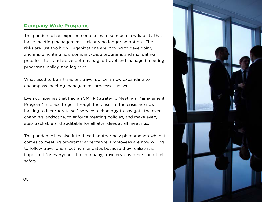### **Company Wide Programs**

The pandemic has exposed companies to so much new liability that loose meeting management is clearly no longer an option. The risks are just too high. Organizations are moving to developing and implementing new company-wide programs and mandating practices to standardize both managed travel and managed meeting processes, policy, and logistics.

What used to be a transient travel policy is now expanding to encompass meeting management processes, as well.

Even companies that had an SMMP (Strategic Meetings Management Program) in place to get through the onset of the crisis are now looking to incorporate self-service technology to navigate the everchanging landscape, to enforce meeting policies, and make every step trackable and auditable for all attendees at all meetings.

The pandemic has also introduced another new phenomenon when it comes to meeting programs: acceptance. Employees are now willing to follow travel and meeting mandates because they realize it is important for everyone - the company, travelers, customers and their safety.

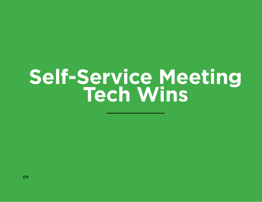# **Self-Service Meeting Tech Wins**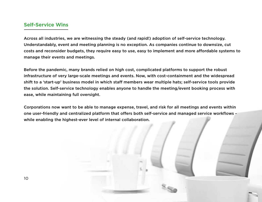#### **Self-Service Wins**

Across all industries, we are witnessing the steady (and rapid!) adoption of self-service technology. Understandably, event and meeting planning is no exception. As companies continue to downsize, cut costs and reconsider budgets, they require easy to use, easy to implement and more affordable systems to manage their events and meetings.

Before the pandemic, many brands relied on high cost, complicated platforms to support the robust infrastructure of very large-scale meetings and events. Now, with cost-containment and the widespread shift to a 'start-up' business model in which staff members wear multiple hats; self-service tools provide the solution. Self-service technology enables anyone to handle the meeting/event booking process with ease, while maintaining full oversight.

Corporations now want to be able to manage expense, travel, and risk for all meetings and events within one user-friendly and centralized platform that offers both self-service and managed service workflows while enabling the highest-ever level of internal collaboration.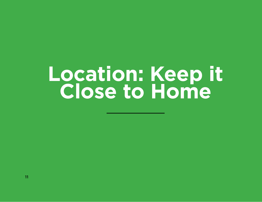## **Location: Keep it Close to Home**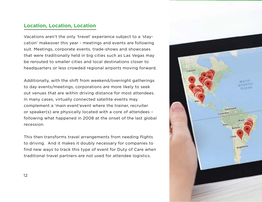### **Location, Location, Location**

Vacations aren't the only 'travel' experience subject to a 'staycation' makeover this year - meetings and events are following suit. Meetings, corporate events, trade-shows and showcases that were traditionally held in big cities such as Las Vegas may be rerouted to smaller cities and local destinations closer to headquarters or less crowded regional airports moving forward.

Additionally, with the shift from weekend/overnight gatherings to day events/meetings, corporations are more likely to seek out venues that are within driving distance for most attendees. In many cases, virtually connected satellite events may complement a 'main event'event where the trainer, recruiter or speaker(s) are physically located with a core of attendees – following what happened in 2008 at the onset of the last global recession.

This then transforms travel arrangements from needing flights to driving. And it makes it doubly necessary for companies to find new ways to track this type of event for Duty of Care when traditional travel partners are not used for attendee logistics.

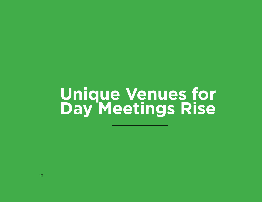## **Unique Venues for Day Meetings Rise**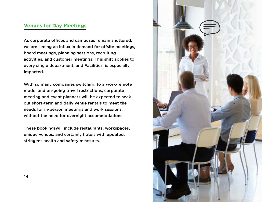### **Venues for Day Meetings**

As corporate offices and campuses remain shuttered, we are seeing an influx in demand for offsite meetings, board meetings, planning sessions, recruiting activities, and customer meetings. This shift applies to every single department, and Facilities is especially impacted.

With so many companies switching to a work-remote model and on-going travel restrictions, corporate meeting and event planners will be expected to seek out short-term and daily venue rentals to meet the needs for in-person meetings and work sessions, without the need for overnight accommodations.

These bookingswill include restaurants, workspaces, unique venues, and certainly hotels with updated, stringent health and safety measures.

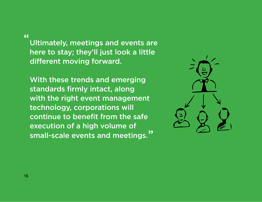**"**

Ultimately, meetings and events are here to stay; they'll just look a little different moving forward.

With these trends and emerging standards firmly intact, along with the right event management technology, corporations will continue to benefit from the safe execution of a high volume of small-scale events and meetings. **"**